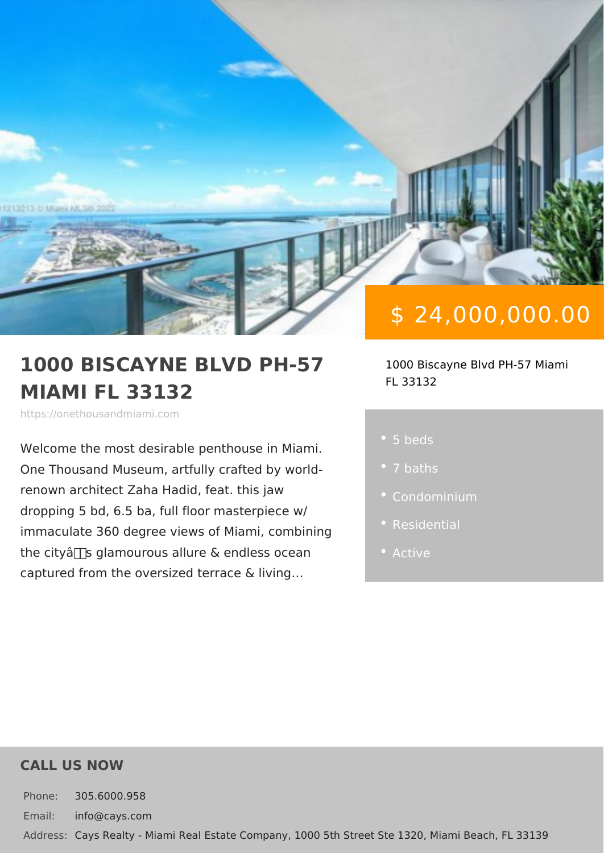# \$ 24,000,000.00

#### 1000 BISCAYNE BLVD PH-57700 Biscayne Blvd PH-57 M MIAMI FL 33132 FL 33132

https://onethousandmiami.com

Welcome the most desirable penthouse One Thousand Museum, artfully crafted renown architect Zaha Hadid, feat. this dropping 5 bd, 6.5 ba, full floor master immaculate 360 degree views of Miami, the city's glamourous allure & endle · Active captured from the oversized terrace & I

5 beds

- 
- 
- 
- 

#### CALL US NOW

Phone: 305.6000.958 Email: info@cays.com Addres Cays Realty - Miami Real Estate Company, 1000 5th Street Ste 1320, Mia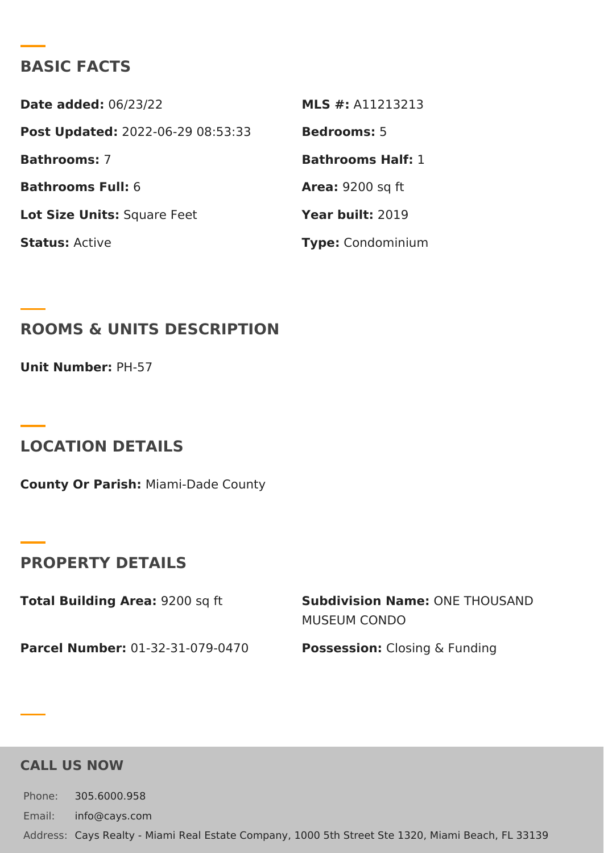### BASIC FACTS

Date added: 6/23/22 MLS #: A11213213 Post Update @022-06-29 08:53:33Bedrooms5 Bathrooms7 Bathrooms Half: Bathrooms Fu6I: Area: 9200 sq ft Lot Size Unifsquare Feet Year buil 2:019 StatusActive Type Condominium

ROOMS & UNITS DESCRIPTION

Unit NumberH-57

LOCATION DETAILS

County Or Paris/liami-Dade County

PROPERTY DETAILS

Total Building Ar 92200 sq ft Subdivision NamOeNE THOUSAND MUSEUM CONDO

Parcel Numbe0r1-32-31-079-0470 PossessionC:losing & Funding

CALL US NOW

Phone: 305.6000.958 Email: info@cays.com Addres Cays Realty - Miami Real Estate Company, 1000 5th Street Ste 1320, Mia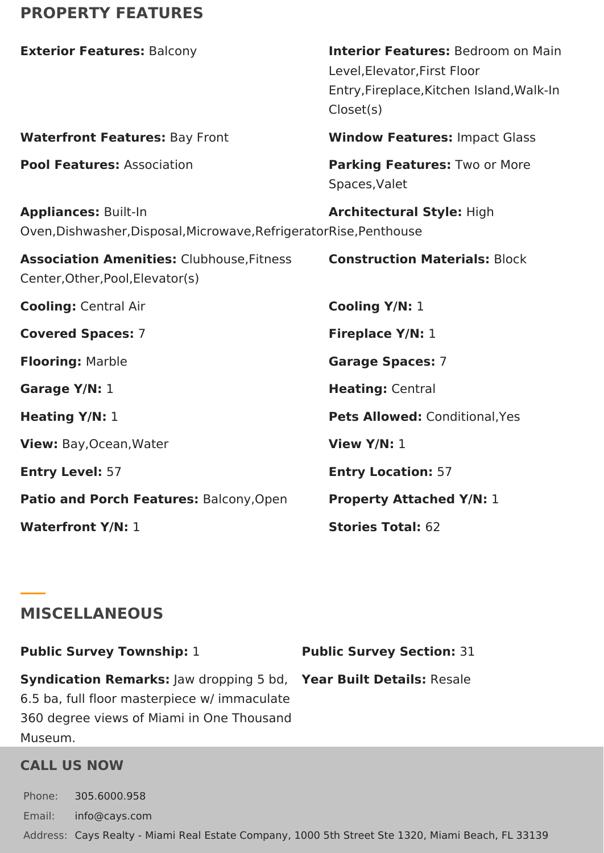# **PROPERTY FEATURES**

| <b>Exterior Features: Balcony</b>                                                                  | <b>Interior Features: Bedroom on Main</b><br>Level, Elevator, First Floor<br>Entry, Fireplace, Kitchen Island, Walk-In<br>Closet(s) |
|----------------------------------------------------------------------------------------------------|-------------------------------------------------------------------------------------------------------------------------------------|
| <b>Waterfront Features: Bay Front</b>                                                              | <b>Window Features: Impact Glass</b>                                                                                                |
| <b>Pool Features: Association</b>                                                                  | Parking Features: Two or More<br>Spaces, Valet                                                                                      |
| <b>Appliances: Built-In</b><br>Oven, Dishwasher, Disposal, Microwave, Refrigerator Rise, Penthouse | <b>Architectural Style: High</b>                                                                                                    |
| <b>Association Amenities: Clubhouse, Fitness</b><br>Center, Other, Pool, Elevator(s)               | <b>Construction Materials: Block</b>                                                                                                |
| <b>Cooling: Central Air</b>                                                                        | Cooling Y/N: 1                                                                                                                      |
| <b>Covered Spaces: 7</b>                                                                           | Fireplace Y/N: 1                                                                                                                    |
| <b>Flooring: Marble</b>                                                                            | <b>Garage Spaces: 7</b>                                                                                                             |
| Garage Y/N: 1                                                                                      | Heating: Central                                                                                                                    |
| <b>Heating Y/N: 1</b>                                                                              | Pets Allowed: Conditional, Yes                                                                                                      |
| View: Bay, Ocean, Water                                                                            | View $Y/N: 1$                                                                                                                       |
| <b>Entry Level: 57</b>                                                                             | <b>Entry Location: 57</b>                                                                                                           |
| Patio and Porch Features: Balcony, Open                                                            | <b>Property Attached Y/N: 1</b>                                                                                                     |
| <b>Waterfront Y/N: 1</b>                                                                           | Stories Total: 62                                                                                                                   |

## **MISCELLANEOUS**

**Public Survey Township:** 1 **Public Survey Section:** 31 **Syndication Remarks:** Jaw dropping 5 bd, **Year Built Details:** Resale 6.5 ba, full floor masterpiece w/ immaculate 360 degree views of Miami in One Thousand Museum.

## **CALL US NOW**

Phone: 305.6000.958 Email: info@cays.com Address: Cays Realty - Miami Real Estate Company, 1000 5th Street Ste 1320, Miami Beach, FL 33139